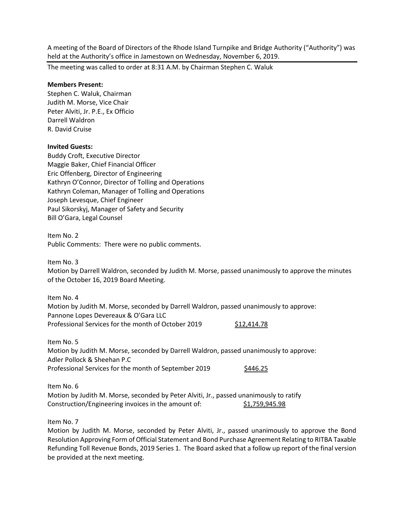A meeting of the Board of Directors of the Rhode Island Turnpike and Bridge Authority ("Authority") was held at the Authority's office in Jamestown on Wednesday, November 6, 2019.

The meeting was called to order at 8:31 A.M. by Chairman Stephen C. Waluk

# **Members Present:**

Stephen C. Waluk, Chairman Judith M. Morse, Vice Chair Peter Alviti, Jr. P.E., Ex Officio Darrell Waldron R. David Cruise

# **Invited Guests:**

Buddy Croft, Executive Director Maggie Baker, Chief Financial Officer Eric Offenberg, Director of Engineering Kathryn O'Connor, Director of Tolling and Operations Kathryn Coleman, Manager of Tolling and Operations Joseph Levesque, Chief Engineer Paul Sikorskyj, Manager of Safety and Security Bill O'Gara, Legal Counsel

Item No. 2 Public Comments: There were no public comments.

Item No. 3

Motion by Darrell Waldron, seconded by Judith M. Morse, passed unanimously to approve the minutes of the October 16, 2019 Board Meeting.

Item No. 4 Motion by Judith M. Morse, seconded by Darrell Waldron, passed unanimously to approve: Pannone Lopes Devereaux & O'Gara LLC Professional Services for the month of October 2019 \$12,414.78

Item No. 5 Motion by Judith M. Morse, seconded by Darrell Waldron, passed unanimously to approve: Adler Pollock & Sheehan P.C Professional Services for the month of September 2019 \$446.25

Item No. 6 Motion by Judith M. Morse, seconded by Peter Alviti, Jr., passed unanimously to ratify Construction/Engineering invoices in the amount of: \$1,759,945.98

Item No. 7

Motion by Judith M. Morse, seconded by Peter Alviti, Jr., passed unanimously to approve the Bond Resolution Approving Form of Official Statement and Bond Purchase Agreement Relating to RITBA Taxable Refunding Toll Revenue Bonds, 2019 Series 1. The Board asked that a follow up report of the final version be provided at the next meeting.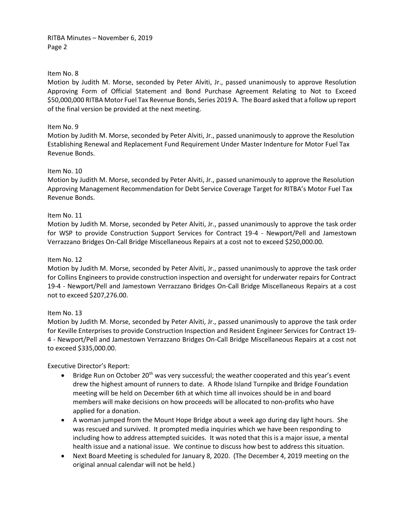RITBA Minutes – November 6, 2019 Page 2

# Item No. 8

Motion by Judith M. Morse, seconded by Peter Alviti, Jr., passed unanimously to approve Resolution Approving Form of Official Statement and Bond Purchase Agreement Relating to Not to Exceed \$50,000,000 RITBA Motor Fuel Tax Revenue Bonds, Series 2019 A. The Board asked that a follow up report of the final version be provided at the next meeting.

## Item No. 9

Motion by Judith M. Morse, seconded by Peter Alviti, Jr., passed unanimously to approve the Resolution Establishing Renewal and Replacement Fund Requirement Under Master Indenture for Motor Fuel Tax Revenue Bonds.

#### Item No. 10

Motion by Judith M. Morse, seconded by Peter Alviti, Jr., passed unanimously to approve the Resolution Approving Management Recommendation for Debt Service Coverage Target for RITBA's Motor Fuel Tax Revenue Bonds.

# Item No. 11

Motion by Judith M. Morse, seconded by Peter Alviti, Jr., passed unanimously to approve the task order for WSP to provide Construction Support Services for Contract 19-4 - Newport/Pell and Jamestown Verrazzano Bridges On-Call Bridge Miscellaneous Repairs at a cost not to exceed \$250,000.00.

## Item No. 12

Motion by Judith M. Morse, seconded by Peter Alviti, Jr., passed unanimously to approve the task order for Collins Engineers to provide construction inspection and oversight for underwater repairs for Contract 19-4 - Newport/Pell and Jamestown Verrazzano Bridges On-Call Bridge Miscellaneous Repairs at a cost not to exceed \$207,276.00.

#### Item No. 13

Motion by Judith M. Morse, seconded by Peter Alviti, Jr., passed unanimously to approve the task order for Keville Enterprises to provide Construction Inspection and Resident Engineer Services for Contract 19- 4 - Newport/Pell and Jamestown Verrazzano Bridges On-Call Bridge Miscellaneous Repairs at a cost not to exceed \$335,000.00.

Executive Director's Report:

- Bridge Run on October 20<sup>th</sup> was very successful; the weather cooperated and this year's event drew the highest amount of runners to date. A Rhode Island Turnpike and Bridge Foundation meeting will be held on December 6th at which time all invoices should be in and board members will make decisions on how proceeds will be allocated to non-profits who have applied for a donation.
- A woman jumped from the Mount Hope Bridge about a week ago during day light hours. She was rescued and survived. It prompted media inquiries which we have been responding to including how to address attempted suicides. It was noted that this is a major issue, a mental health issue and a national issue. We continue to discuss how best to address this situation.
- Next Board Meeting is scheduled for January 8, 2020. (The December 4, 2019 meeting on the original annual calendar will not be held.)